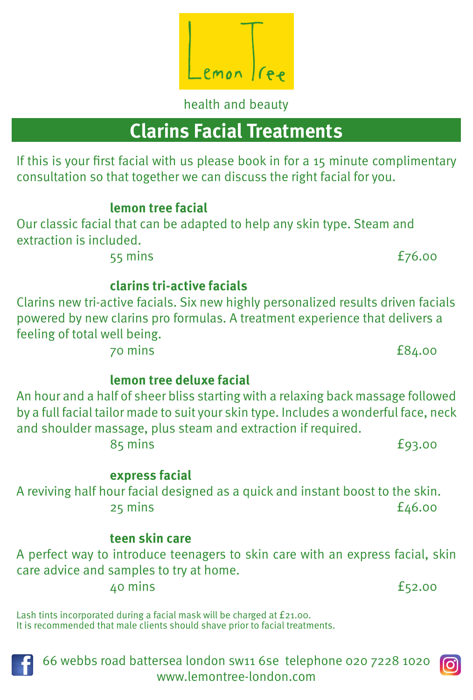66 webbs road battersea london sw11 6se telephone 020 7228 1020 www.lemontree-london.com

# health and beauty

# **Clarins Facial Treatments**

If this is your first facial with us please book in for a 15 minute complimentary consultation so that together we can discuss the right facial for you.

Our classic facial that can be adapted to help any skin type. Steam and

### **lemon tree facial**

# **clarins tri-active facials**

Clarins new tri-active facials. Six new highly personalized results driven facials powered by new clarins pro formulas. A treatment experience that delivers a feeling of total well being.

70 mins £84.00

extraction is included.

### **lemon tree deluxe facial**

An hour and a half of sheer bliss starting with a relaxing back massage followed by a full facial tailor made to suit your skin type. Includes a wonderful face, neck and shoulder massage, plus steam and extraction if required. 85 mins **£93.00** 

**express facial**

A reviving half hour facial designed as a quick and instant boost to the skin.  $25 \text{ mins}$   $f_A6.00$ 

### **teen skin care**

Lash tints incorporated during a facial mask will be charged at £21.00. It is recommended that male clients should shave prior to facial treatments.

A perfect way to introduce teenagers to skin care with an express facial, skin care advice and samples to try at home.

40 mins £52.00

íσ

 $55 \text{ mins}$   $f \frac{76.00}{75.00}$ 



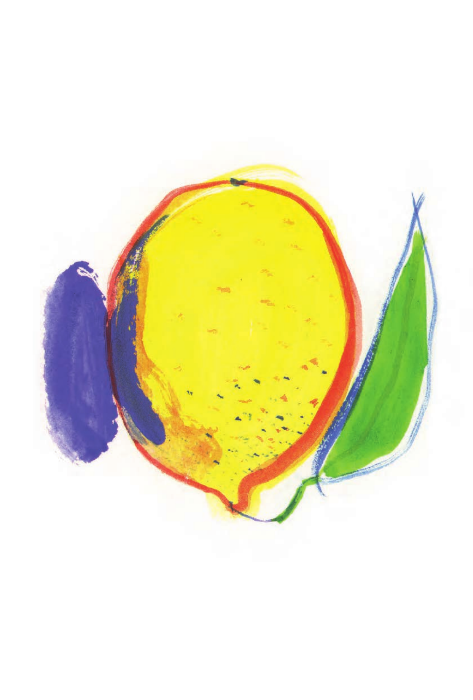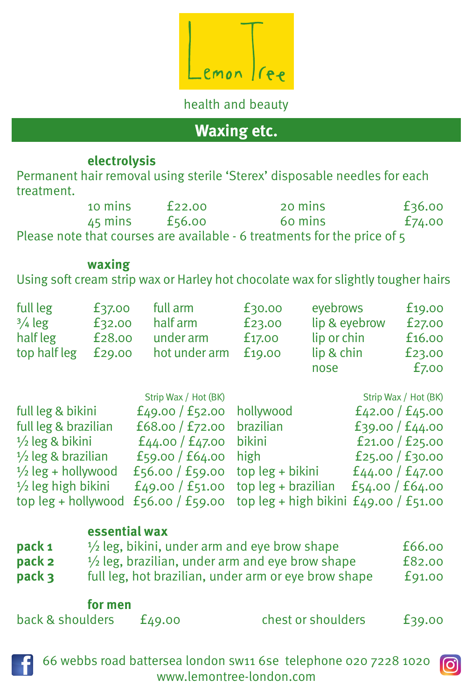

# **Waxing etc.**

### **electrolysis**

Permanent hair removal using sterile 'Sterex' disposable needles for each treatment.

| 10 mins                                                                  | £22.00 | 20 mins | £36.00 |
|--------------------------------------------------------------------------|--------|---------|--------|
| $45 \text{ mins}$                                                        | £56.00 | 60 mins | £74.00 |
| Please note that courses are available - 6 treatments for the price of 5 |        |         |        |

### **waxing**

Using soft cream strip wax or Harley hot chocolate wax for slightly tougher hairs

| full leg     | £37.00 | full arm      | f30.00 | evebrows      | £19.00   |
|--------------|--------|---------------|--------|---------------|----------|
| $3/4$ leg    | £32,00 | half arm      | £23.00 | lip & eyebrow | £27.00   |
| half leg     | £28.00 | under arm     | £17.00 | lip or chin   | £16.00   |
| top half leg | £29.00 | hot under arm | £19.00 | lip & chin    | £23.00   |
|              |        |               |        | nose          | $E$ 7.00 |

|                               | Strip Wax / Hot (BK)      |                                                                           | Strip Wax / Hot (BK)      |
|-------------------------------|---------------------------|---------------------------------------------------------------------------|---------------------------|
| full leg & bikini             | $f_{49.00}$ / $f_{52.00}$ | hollywood                                                                 | $f_{42.00}$ / $f_{45.00}$ |
| full leg & brazilian          | f68.00 / f72.00           | brazilian                                                                 | $f_39.00 / f_{44.00}$     |
| $\frac{1}{2}$ leg & bikini    | $f_{44.00}$ / $f_{47.00}$ | bikini                                                                    | f21.00 / f25.00           |
| $\frac{1}{2}$ leg & brazilian | $f_{59,00}$ / $f_{64,00}$ | high                                                                      | f25.00 / f30.00           |
| $\frac{1}{2}$ leg + hollywood | £56.00 / £59.00           | $top leg + bikini$                                                        | $f_{44.00}$ / $f_{47.00}$ |
| $\frac{1}{2}$ leg high bikini |                           | £49.00 / £51.00 top $leg + b$ razilian                                    | $f_{54.00}$ / $f_{64.00}$ |
|                               |                           | top leg + hollywood £56.00 / £59.00 top leg + high bikini £49.00 / £51.00 |                           |

### **essential wax**

| pack 1 | $\frac{1}{2}$ leg, bikini, under arm and eye brow shape    | £66.00 |
|--------|------------------------------------------------------------|--------|
| pack 2 | $\frac{1}{2}$ leg, brazilian, under arm and eve brow shape | £82.00 |
| pack 3 | full leg, hot brazilian, under arm or eye brow shape       | £91.00 |
|        |                                                            |        |

### **for men**

| back & shoulders | £49.00 | chest or shoulders | £39.00 |
|------------------|--------|--------------------|--------|
|------------------|--------|--------------------|--------|



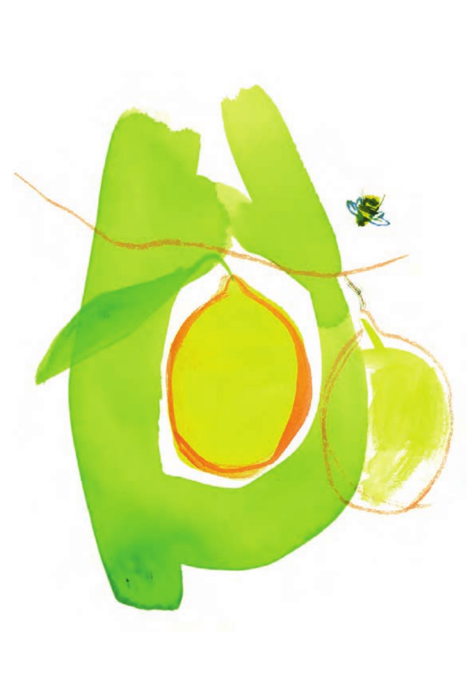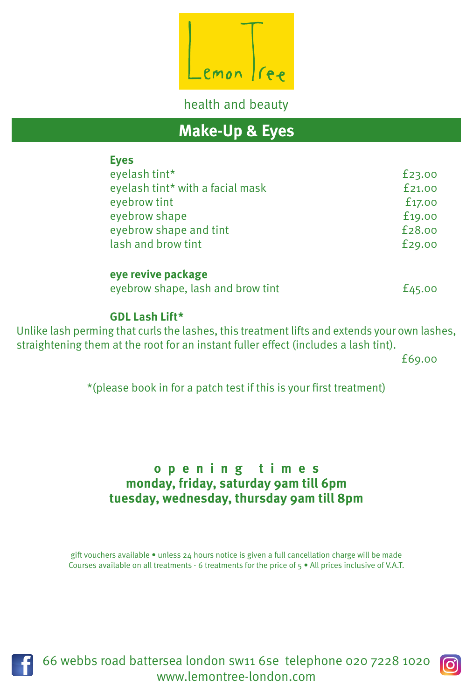

| Make-Up & Eyes |  |
|----------------|--|
|----------------|--|

| <b>Eyes</b>                       |        |
|-----------------------------------|--------|
| eyelash tint*                     | £23.00 |
| eyelash tint* with a facial mask  | £21,00 |
| eyebrow tint                      | £17.00 |
| eyebrow shape                     | £19.00 |
| eyebrow shape and tint            | £28.00 |
| lash and brow fint                | £29.00 |
| eye revive package                |        |
| eyebrow shape, lash and brow tint | £45.00 |
|                                   |        |

#### **GDL Lash Lift\***

Unlike lash perming that curls the lashes, this treatment lifts and extends your own lashes, straightening them at the root for an instant fuller effect (includes a lash tint).

 $\sim$  569.000  $\pm$  69.000  $\pm$  69.000  $\pm$ 

 $*($ please book in for a patch test if this is your first treatment)

### **opening times monday, friday, saturday 9am till 6pm tuesday, wednesday, thursday 9am till 8pm**

gift vouchers available • unless 24 hours notice is given a full cancellation charge will be made Courses available on all treatments - 6 treatments for the price of 5 • All prices inclusive of V.A.T.

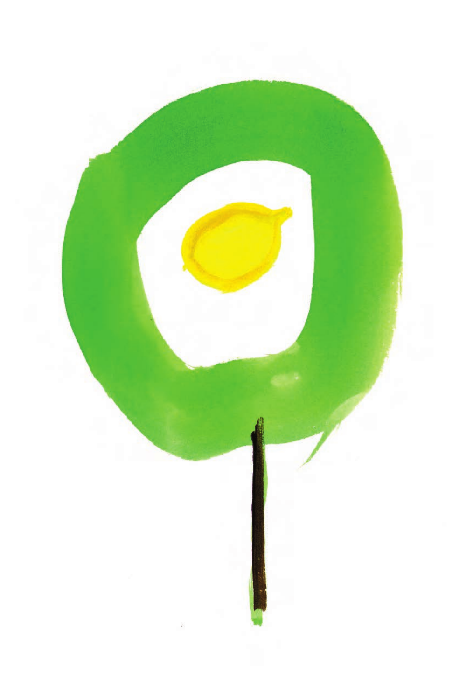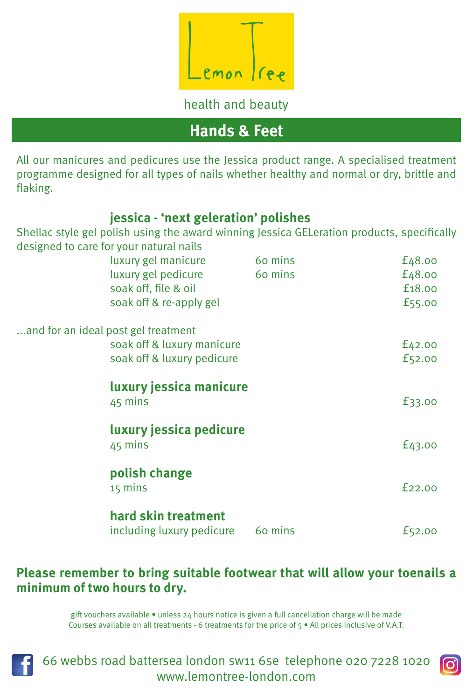

**Hands & Feet**

All our manicures and pedicures use the Jessica product range. A specialised treatment programme designed for all types of nails whether healthy and normal or dry, brittle and flaking.

### **jessica - 'next geleration' polishes**

| Shellac style gel polish using the award winning Jessica GELeration products, specifically<br>designed to care for your natural nails |         |        |
|---------------------------------------------------------------------------------------------------------------------------------------|---------|--------|
| luxury gel manicure                                                                                                                   | 60 mins | £48.00 |
| luxury gel pedicure                                                                                                                   | 60 mins | £48.00 |
| soak off, file & oil                                                                                                                  |         | £18.00 |
| soak off & re-apply gel                                                                                                               |         | £55.00 |
| and for an ideal post gel treatment                                                                                                   |         |        |
| soak off & luxury manicure                                                                                                            |         | £42.00 |
| soak off & luxury pedicure                                                                                                            |         | £52.00 |
| luxury jessica manicure                                                                                                               |         |        |
| 45 mins                                                                                                                               |         | £33.00 |
| luxury jessica pedicure                                                                                                               |         |        |
| 45 mins                                                                                                                               |         | £43.00 |
| polish change                                                                                                                         |         |        |
| 15 mins                                                                                                                               |         | £22.00 |
| hard skin treatment                                                                                                                   |         |        |
| including luxury pedicure                                                                                                             | 60 mins | £52.00 |

### **Please remember to bring suitable footwear that will allow your toenails a minimum of two hours to dry.**

gift vouchers available • unless 24 hours notice is given a full cancellation charge will be made Courses available on all treatments - 6 treatments for the price of 5 • All prices inclusive of V.A.T.



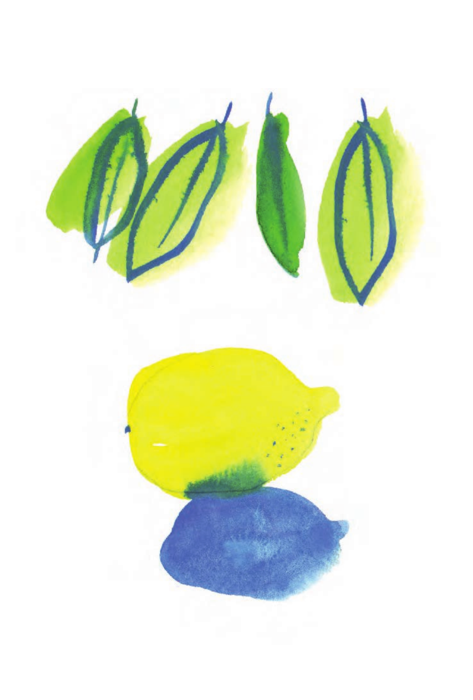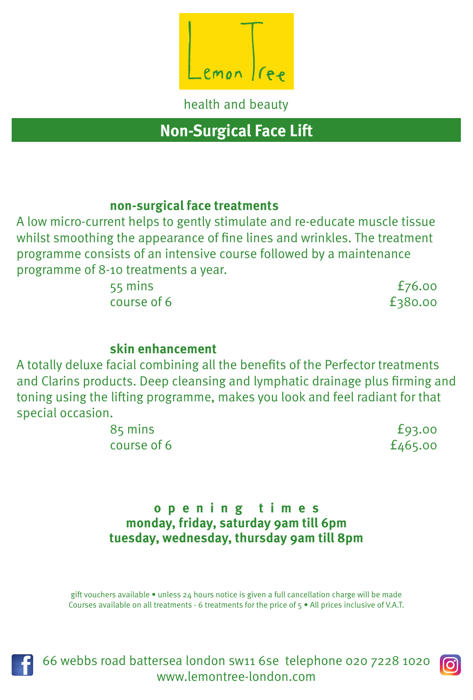

# **Non-Surgical Face Lift**

#### **non-surgical face treatments**

A low micro-current helps to gently stimulate and re-educate muscle tissue whilst smoothing the appearance of fine lines and wrinkles. The treatment programme consists of an intensive course followed by a maintenance programme of 8-10 treatments a year.

| $55$ mins   | £76.00  |
|-------------|---------|
| course of 6 | £380.00 |

#### **skin enhancement**

A totally deluxe facial combining all the benefits of the Perfector treatments and Clarins products. Deep cleansing and lymphatic drainage plus firming and toning using the lifting programme, makes you look and feel radiant for that special occasion.

| 85 mins     |  |
|-------------|--|
| course of 6 |  |

£93.00 £465.00

#### **opening times monday, friday, saturday 9am till 6pm tuesday, wednesday, thursday 9am till 8pm**

gift vouchers available • unless 24 hours notice is given a full cancellation charge will be made Courses available on all treatments - 6 treatments for the price of 5 • All prices inclusive of V.A.T.



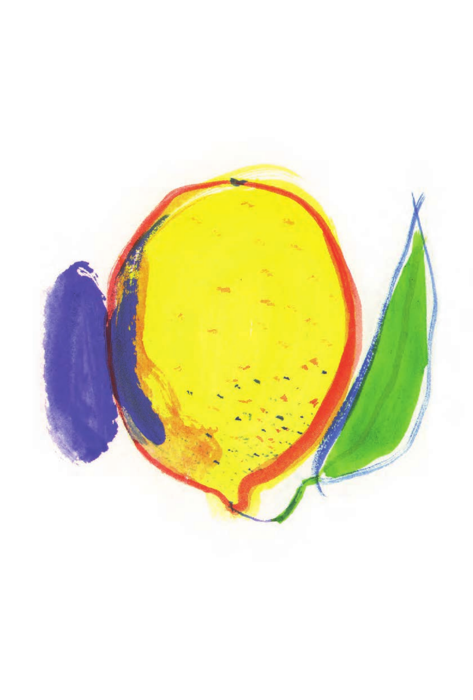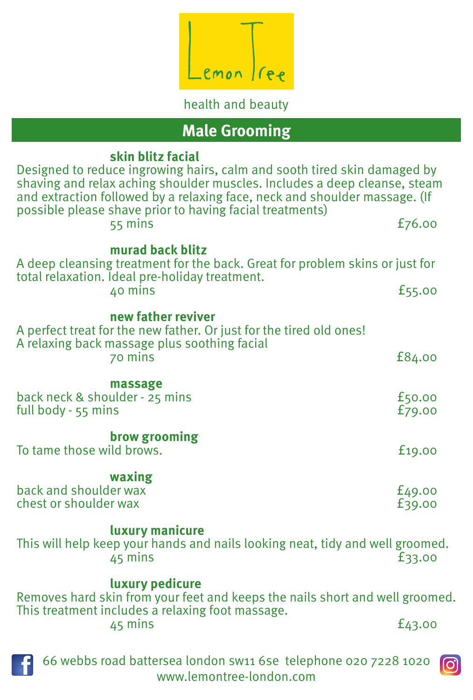

# **Male Grooming**

### **skin blitz facial**

| SKIN DULZ TACIAL<br>Designed to reduce ingrowing hairs, calm and sooth tired skin damaged by<br>shaving and relax aching shoulder muscles. Includes a deep cleanse, steam<br>and extraction followed by a relaxing face, neck and shoulder massage. (If<br>possible please shave prior to having facial treatments) |                  |
|---------------------------------------------------------------------------------------------------------------------------------------------------------------------------------------------------------------------------------------------------------------------------------------------------------------------|------------------|
| 55 mins                                                                                                                                                                                                                                                                                                             | £76.00           |
| murad back blitz<br>A deep cleansing treatment for the back. Great for problem skins or just for<br>total relaxation. Ideal pre-holiday treatment.                                                                                                                                                                  |                  |
| $40$ mins                                                                                                                                                                                                                                                                                                           | £55.00           |
| new father reviver<br>A perfect treat for the new father. Or just for the tired old ones!<br>A relaxing back massage plus soothing facial                                                                                                                                                                           |                  |
| 70 mins                                                                                                                                                                                                                                                                                                             | £84.00           |
| massage<br>back neck & shoulder - 25 mins<br>full body - 55 mins                                                                                                                                                                                                                                                    | £50.00<br>£79.00 |
| brow grooming<br>To tame those wild brows.                                                                                                                                                                                                                                                                          | £19.00           |
| waxing<br>back and shoulder wax<br>chest or shoulder wax                                                                                                                                                                                                                                                            | £49.00<br>£39.00 |
| luxury manicure<br>This will help keep your hands and nails looking neat, tidy and well groomed.<br>45 mins                                                                                                                                                                                                         | £33.00           |
| luxury pedicure<br>Bemoves hard skin from your feet and keeps the pails short and well groomer                                                                                                                                                                                                                      |                  |

in from your feet and keeps the nails short and well groomed. This treatment includes a relaxing foot massage. 45 mins **E**43.00



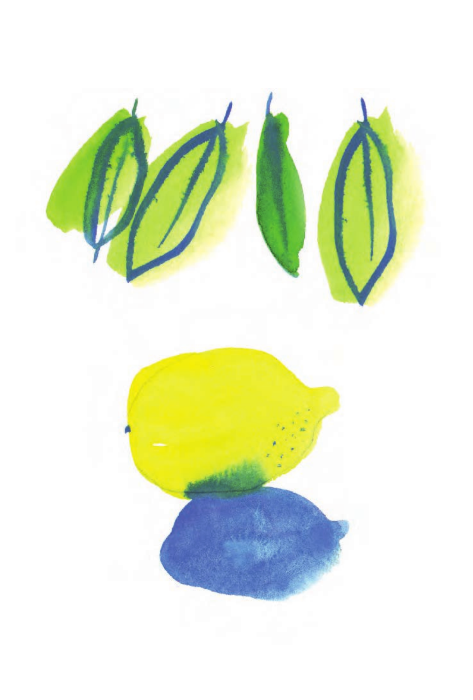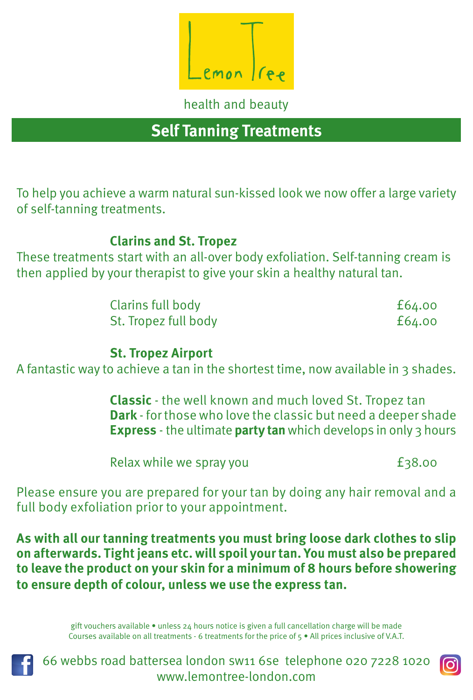

# **Self Tanning Treatments**

To help you achieve a warm natural sun-kissed look we now offer a large variety of self-tanning treatments.

### **Clarins and St. Tropez**

These treatments start with an all-over body exfoliation. Self-tanning cream is then applied by your therapist to give your skin a healthy natural tan.

| Clarins full body    | £64.00 |
|----------------------|--------|
| St. Tropez full body | £64.00 |

### **St. Tropez Airport**

A fantastic way to achieve a tan in the shortest time, now available in 3 shades.

**Classic** - the well known and much loved St. Tropez tan **Dark** - for those who love the classic but need a deeper shade **Express** - the ultimate **party tan** which develops in only 3 hours

| Relax while we spray you | £38.00 |
|--------------------------|--------|
|                          |        |

Please ensure you are prepared for your tan by doing any hair removal and a full body exfoliation prior to your appointment.

**As with all our tanning treatments you must bring loose dark clothes to slip on afterwards. Tight jeans etc. will spoil your tan. You must also be prepared to leave the product on your skin for a minimum of 8 hours before showering to ensure depth of colour, unless we use the express tan.**

> gift vouchers available • unless 24 hours notice is given a full cancellation charge will be made Courses available on all treatments - 6 treatments for the price of 5 • All prices inclusive of V.A.T.

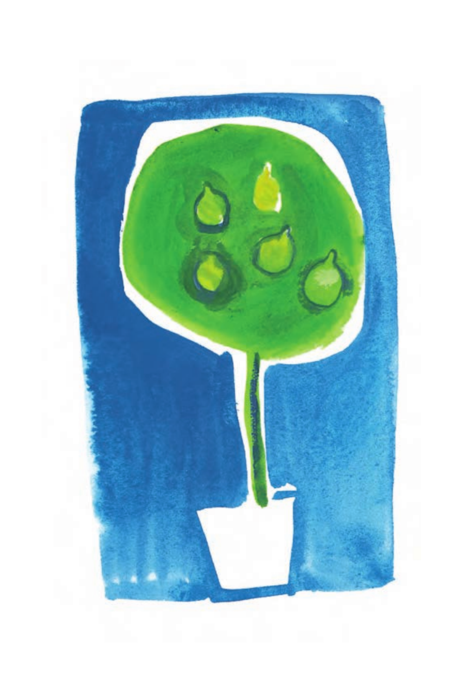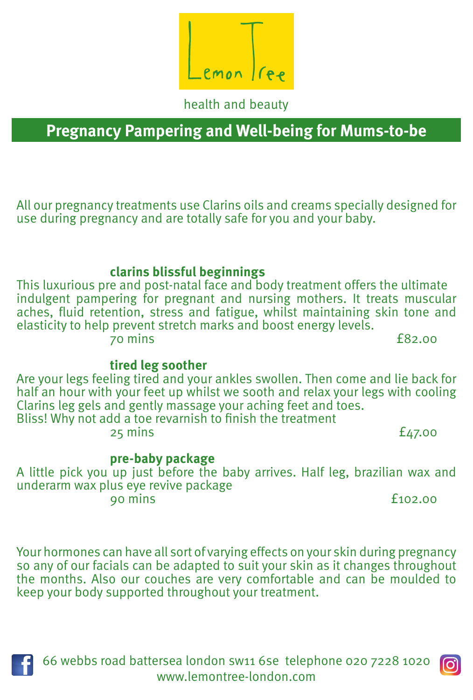**Pregnancy Pampering and Well-being for Mums-to-be**

All our pregnancy treatments use Clarins oils and creams specially designed for use during pregnancy and are totally safe for you and your baby.

**clarins blissful beginnings**

This luxurious pre and post-natal face and body treatment offers the ultimate indulgent pampering for pregnant and nursing mothers. It treats muscular aches, fluid retention, stress and fatigue, whilst maintaining skin tone and elasticity to help prevent stretch marks and boost energy levels.<br>zo mins 70 mins £82.00

### **tired leg soother**

Are your legs feeling tired and your ankles swollen. Then come and lie back for half an hour with your feet up whilst we sooth and relax your legs with cooling Clarins leg gels and gently massage your aching feet and toes. Bliss! Why not add a toe revarnish to finish the treatment  $25 \text{ mins}$   $f_{47.00}$ 

**pre-baby package**

A little pick you up just before the baby arrives. Half leg, brazilian wax and underarm wax plus eve revive package 90 mins £102.00

Your hormones can have all sort of varying effects on your skin during pregnancy so any of our facials can be adapted to suit your skin as it changes throughout the months. Also our couches are very comfortable and can be moulded to keep your body supported throughout your treatment.



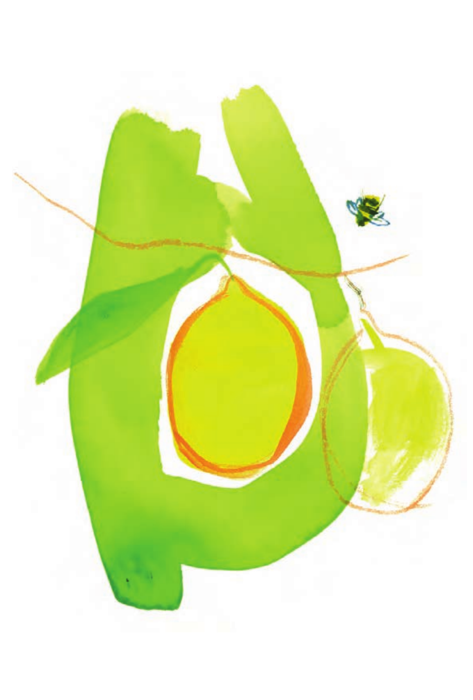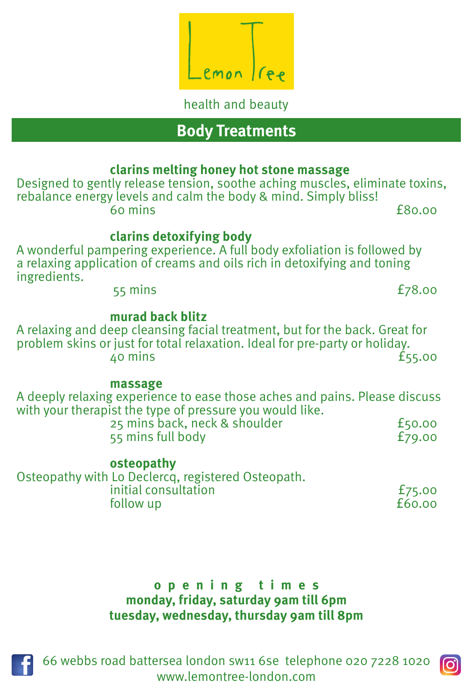

# **Body Treatments**

| clarins melting honey hot stone massage<br>Designed to gently release tension, soothe aching muscles, eliminate toxins,<br>rebalance energy levels and calm the body & mind. Simply bliss!              |                  |  |
|---------------------------------------------------------------------------------------------------------------------------------------------------------------------------------------------------------|------------------|--|
| 60 mins                                                                                                                                                                                                 | £80.00           |  |
| clarins detoxifying body<br>A wonderful pampering experience. A full body exfoliation is followed by<br>a relaxing application of creams and oils rich in detoxifying and toning<br>ingredients.        |                  |  |
| 55 mins                                                                                                                                                                                                 | £78.00           |  |
| murad back blitz<br>A relaxing and deep cleansing facial treatment, but for the back. Great for<br>problem skins or just for total relaxation. Ideal for pre-party or holiday.<br>40 mins               | £55.00           |  |
| massage<br>A deeply relaxing experience to ease those aches and pains. Please discuss<br>with your therapist the type of pressure you would like.<br>25 mins back, neck & shoulder<br>55 mins full body | £50.00<br>£79.00 |  |
| osteopathy<br>Osteopathy with Lo Declercq, registered Osteopath.<br>initial consultation<br>follow up                                                                                                   | £75.00<br>£60.00 |  |
|                                                                                                                                                                                                         |                  |  |

### **opening times monday, friday, saturday 9am till 6pm tuesday, wednesday, thursday 9am till 8pm**



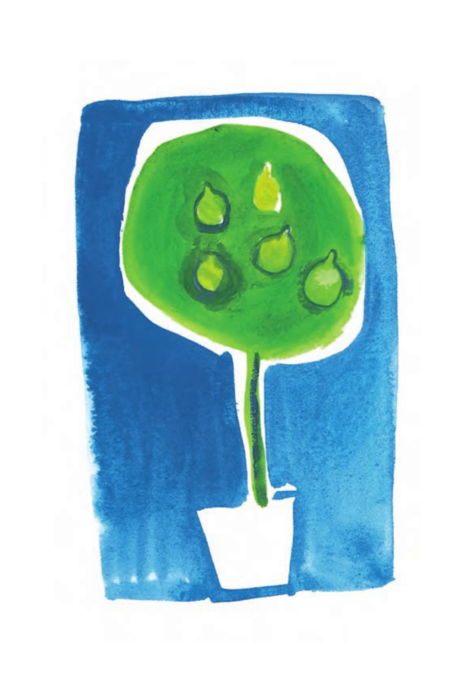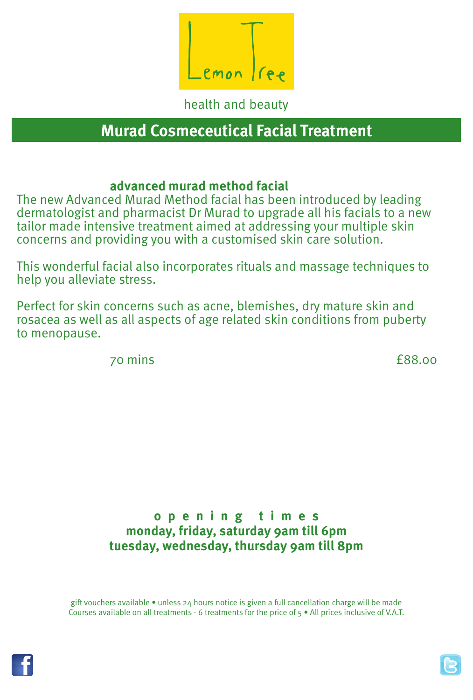

# **Murad Cosmeceutical Facial Treatment**

#### **advanced murad method facial**

The new Advanced Murad Method facial has been introduced by leading dermatologist and pharmacist Dr Murad to upgrade all his facials to a new tailor made intensive treatment aimed at addressing your multiple skin concerns and providing you with a customised skin care solution.

This wonderful facial also incorporates rituals and massage techniques to help you alleviate stress.

Perfect for skin concerns such as acne, blemishes, dry mature skin and rosacea as well as all aspects of age related skin conditions from puberty to menopause.

70 mins £88.00

**opening times monday, friday, saturday 9am till 6pm tuesday, wednesday, thursday 9am till 8pm**

gift vouchers available • unless 24 hours notice is given a full cancellation charge will be made Courses available on all treatments - 6 treatments for the price of 5 • All prices inclusive of V.A.T.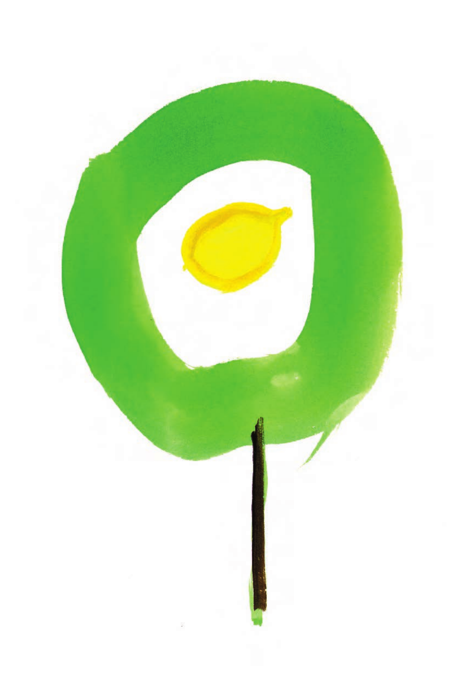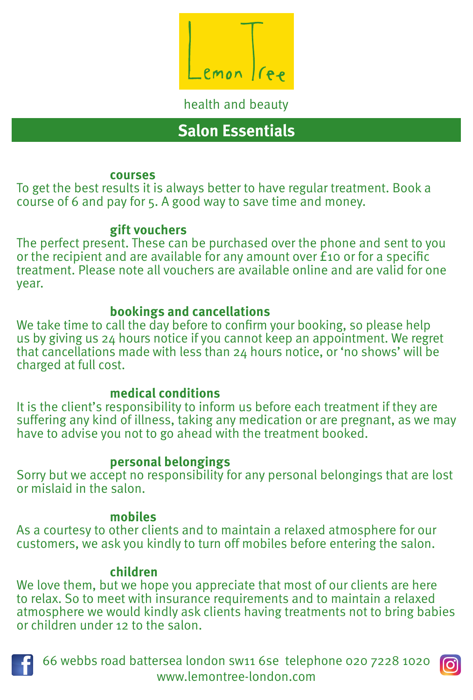

# **Salon Essentials**

#### **courses**

To get the best results it is always better to have regular treatment. Book a course of 6 and pay for 5. A good way to save time and money.

### **gift vouchers**

The perfect present. These can be purchased over the phone and sent to you or the recipient and are available for any amount over  $\text{\AA}$  to or for a specific treatment. Please note all vouchers are available online and are valid for one year.

### **bookings and cancellations**

We take time to call the day before to confirm your booking, so please help us by giving us 24 hours notice if you cannot keep an appointment. We regret that cancellations made with less than 24 hours notice, or 'no shows' will be charged at full cost.

### **medical conditions**

It is the client's responsibility to inform us before each treatment if they are suffering any kind of illness, taking any medication or are pregnant, as we may have to advise you not to go ahead with the treatment booked.

### **personal belongings**

Sorry but we accept no responsibility for any personal belongings that are lost or mislaid in the salon.

### **mobiles**

As a courtesy to other clients and to maintain a relaxed atmosphere for our customers, we ask you kindly to turn off mobiles before entering the salon.

#### **children**

We love them, but we hope you appreciate that most of our clients are here to relax. So to meet with insurance requirements and to maintain a relaxed atmosphere we would kindly ask clients having treatments not to bring babies or children under 12 to the salon.



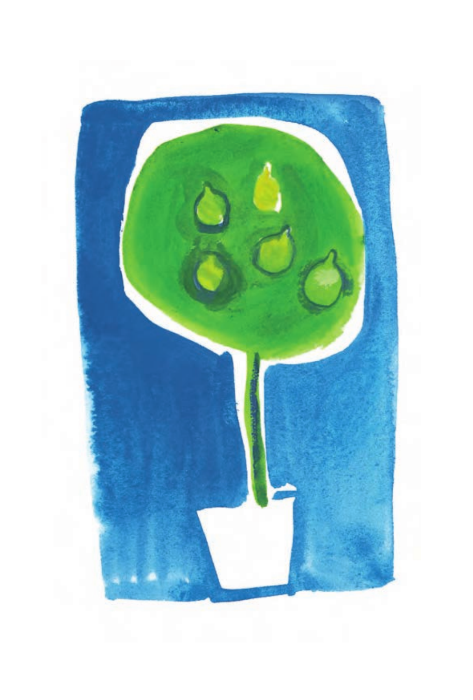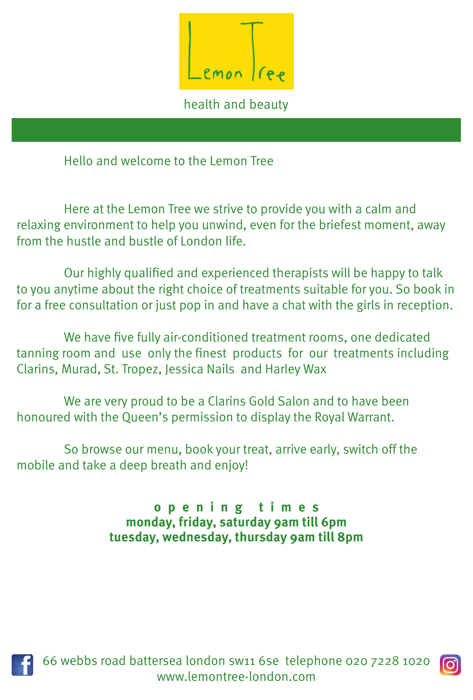

health and beauty

Hello and welcome to the Lemon Tree

 Here at the Lemon Tree we strive to provide you with a calm and relaxing environment to help you unwind, even for the briefest moment, away from the hustle and bustle of London life.

Our highly qualified and experienced therapists will be happy to talk to you anytime about the right choice of treatments suitable for you. So book in for a free consultation or just pop in and have a chat with the girls in reception.

We have five fully air-conditioned treatment rooms, one dedicated tanning room and use only the finest products for our treatments including Clarins, Murad, St. Tropez, Jessica Nails and Harley Wax

 We are very proud to be a Clarins Gold Salon and to have been honoured with the Queen's permission to display the Royal Warrant.

 So browse our menu, book your treat, arrive early, switch off the mobile and take a deep breath and enjoy!

> **opening times monday, friday, saturday 9am till 6pm tuesday, wednesday, thursday 9am till 8pm**